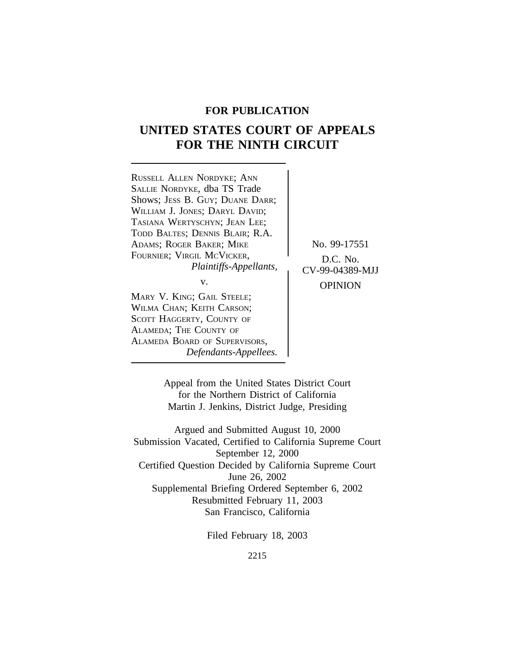# **FOR PUBLICATION**

# **UNITED STATES COURT OF APPEALS FOR THE NINTH CIRCUIT**



Appeal from the United States District Court for the Northern District of California Martin J. Jenkins, District Judge, Presiding

Argued and Submitted August 10, 2000 Submission Vacated, Certified to California Supreme Court September 12, 2000 Certified Question Decided by California Supreme Court June 26, 2002 Supplemental Briefing Ordered September 6, 2002 Resubmitted February 11, 2003 San Francisco, California

Filed February 18, 2003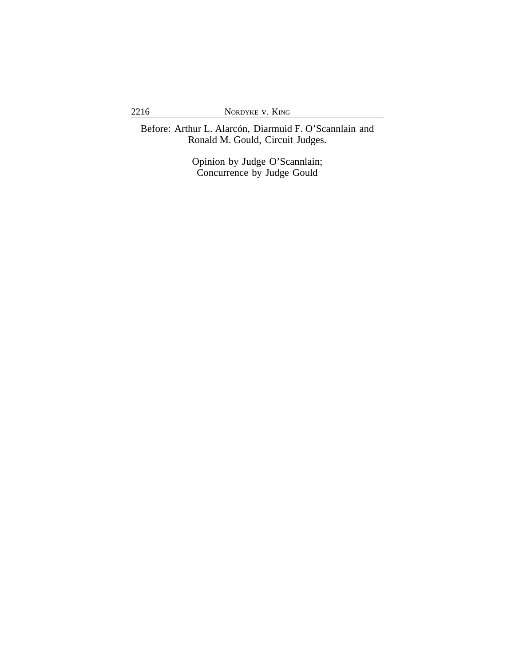Before: Arthur L. Alarcón, Diarmuid F. O'Scannlain and Ronald M. Gould, Circuit Judges.

> Opinion by Judge O'Scannlain; Concurrence by Judge Gould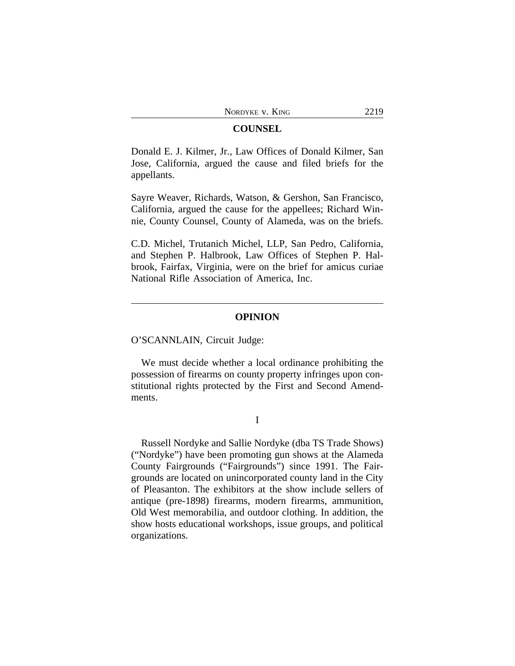## **COUNSEL**

Donald E. J. Kilmer, Jr., Law Offices of Donald Kilmer, San Jose, California, argued the cause and filed briefs for the appellants.

Sayre Weaver, Richards, Watson, & Gershon, San Francisco, California, argued the cause for the appellees; Richard Winnie, County Counsel, County of Alameda, was on the briefs.

C.D. Michel, Trutanich Michel, LLP, San Pedro, California, and Stephen P. Halbrook, Law Offices of Stephen P. Halbrook, Fairfax, Virginia, were on the brief for amicus curiae National Rifle Association of America, Inc.

## **OPINION**

O'SCANNLAIN, Circuit Judge:

We must decide whether a local ordinance prohibiting the possession of firearms on county property infringes upon constitutional rights protected by the First and Second Amendments.

I

Russell Nordyke and Sallie Nordyke (dba TS Trade Shows) ("Nordyke") have been promoting gun shows at the Alameda County Fairgrounds ("Fairgrounds") since 1991. The Fairgrounds are located on unincorporated county land in the City of Pleasanton. The exhibitors at the show include sellers of antique (pre-1898) firearms, modern firearms, ammunition, Old West memorabilia, and outdoor clothing. In addition, the show hosts educational workshops, issue groups, and political organizations.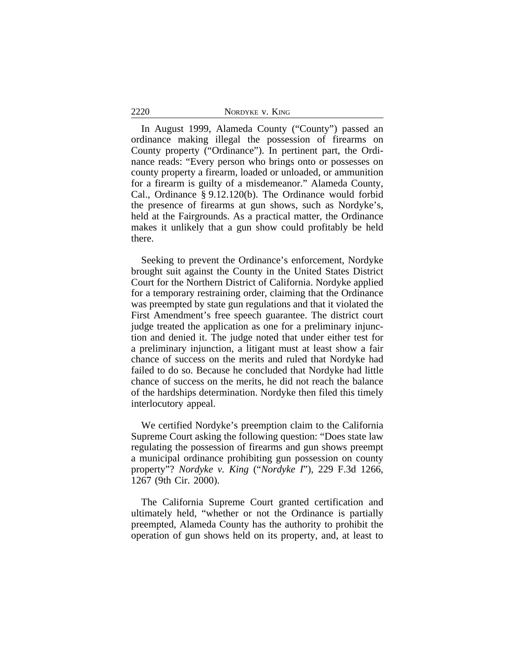| 2220 | NORDYKE V. KING |  |
|------|-----------------|--|
|      |                 |  |

In August 1999, Alameda County ("County") passed an ordinance making illegal the possession of firearms on County property ("Ordinance"). In pertinent part, the Ordinance reads: "Every person who brings onto or possesses on county property a firearm, loaded or unloaded, or ammunition for a firearm is guilty of a misdemeanor." Alameda County, Cal., Ordinance § 9.12.120(b). The Ordinance would forbid the presence of firearms at gun shows, such as Nordyke's, held at the Fairgrounds. As a practical matter, the Ordinance makes it unlikely that a gun show could profitably be held there.

Seeking to prevent the Ordinance's enforcement, Nordyke brought suit against the County in the United States District Court for the Northern District of California. Nordyke applied for a temporary restraining order, claiming that the Ordinance was preempted by state gun regulations and that it violated the First Amendment's free speech guarantee. The district court judge treated the application as one for a preliminary injunction and denied it. The judge noted that under either test for a preliminary injunction, a litigant must at least show a fair chance of success on the merits and ruled that Nordyke had failed to do so. Because he concluded that Nordyke had little chance of success on the merits, he did not reach the balance of the hardships determination. Nordyke then filed this timely interlocutory appeal.

We certified Nordyke's preemption claim to the California Supreme Court asking the following question: "Does state law regulating the possession of firearms and gun shows preempt a municipal ordinance prohibiting gun possession on county property"? *Nordyke v. King* ("*Nordyke I*"), 229 F.3d 1266, 1267 (9th Cir. 2000).

The California Supreme Court granted certification and ultimately held, "whether or not the Ordinance is partially preempted, Alameda County has the authority to prohibit the operation of gun shows held on its property, and, at least to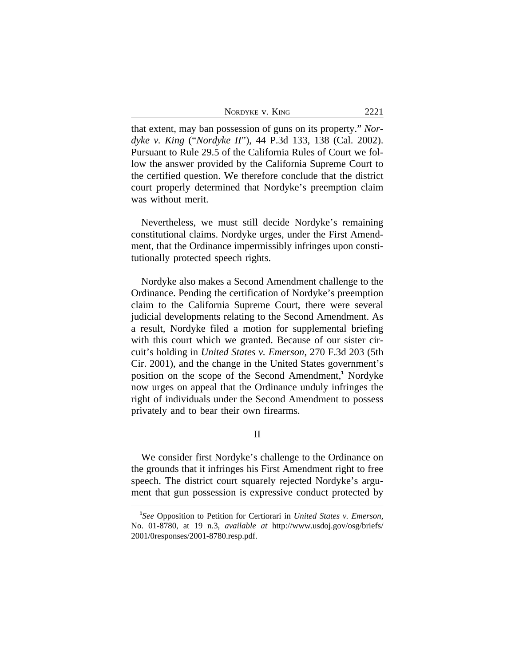NORDYKE V. KING 2221

that extent, may ban possession of guns on its property." *Nordyke v. King* ("*Nordyke II*"), 44 P.3d 133, 138 (Cal. 2002). Pursuant to Rule 29.5 of the California Rules of Court we follow the answer provided by the California Supreme Court to the certified question. We therefore conclude that the district court properly determined that Nordyke's preemption claim was without merit.

Nevertheless, we must still decide Nordyke's remaining constitutional claims. Nordyke urges, under the First Amendment, that the Ordinance impermissibly infringes upon constitutionally protected speech rights.

Nordyke also makes a Second Amendment challenge to the Ordinance. Pending the certification of Nordyke's preemption claim to the California Supreme Court, there were several judicial developments relating to the Second Amendment. As a result, Nordyke filed a motion for supplemental briefing with this court which we granted. Because of our sister circuit's holding in *United States v. Emerson*, 270 F.3d 203 (5th Cir. 2001), and the change in the United States government's position on the scope of the Second Amendment,**<sup>1</sup>** Nordyke now urges on appeal that the Ordinance unduly infringes the right of individuals under the Second Amendment to possess privately and to bear their own firearms.

II

We consider first Nordyke's challenge to the Ordinance on the grounds that it infringes his First Amendment right to free speech. The district court squarely rejected Nordyke's argument that gun possession is expressive conduct protected by

**<sup>1</sup>** *See* Opposition to Petition for Certiorari in *United States v. Emerson*, No. 01-8780, at 19 n.3, *available at* http://www.usdoj.gov/osg/briefs/ 2001/0responses/2001-8780.resp.pdf.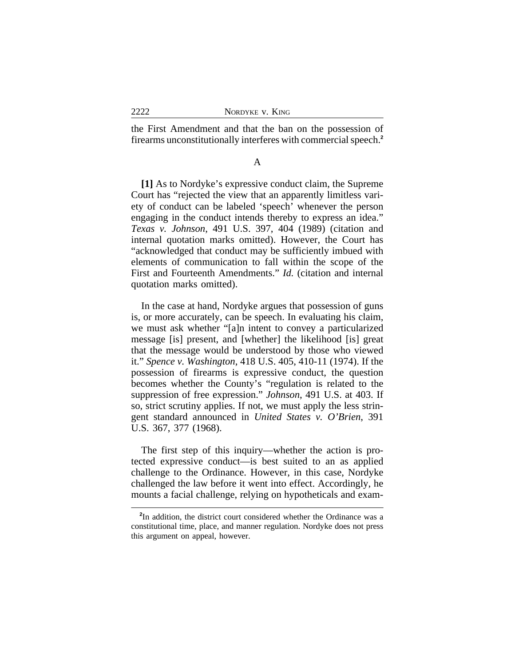the First Amendment and that the ban on the possession of firearms unconstitutionally interferes with commercial speech.**<sup>2</sup>**

A

**[1]** As to Nordyke's expressive conduct claim, the Supreme Court has "rejected the view that an apparently limitless variety of conduct can be labeled 'speech' whenever the person engaging in the conduct intends thereby to express an idea." *Texas v. Johnson*, 491 U.S. 397, 404 (1989) (citation and internal quotation marks omitted). However, the Court has "acknowledged that conduct may be sufficiently imbued with elements of communication to fall within the scope of the First and Fourteenth Amendments." *Id.* (citation and internal quotation marks omitted).

In the case at hand, Nordyke argues that possession of guns is, or more accurately, can be speech. In evaluating his claim, we must ask whether "[a]n intent to convey a particularized message [is] present, and [whether] the likelihood [is] great that the message would be understood by those who viewed it." *Spence v. Washington*, 418 U.S. 405, 410-11 (1974). If the possession of firearms is expressive conduct, the question becomes whether the County's "regulation is related to the suppression of free expression." *Johnson*, 491 U.S. at 403. If so, strict scrutiny applies. If not, we must apply the less stringent standard announced in *United States v. O'Brien*, 391 U.S. 367, 377 (1968).

The first step of this inquiry—whether the action is protected expressive conduct—is best suited to an as applied challenge to the Ordinance. However, in this case, Nordyke challenged the law before it went into effect. Accordingly, he mounts a facial challenge, relying on hypotheticals and exam-

<sup>&</sup>lt;sup>2</sup>In addition, the district court considered whether the Ordinance was a constitutional time, place, and manner regulation. Nordyke does not press this argument on appeal, however.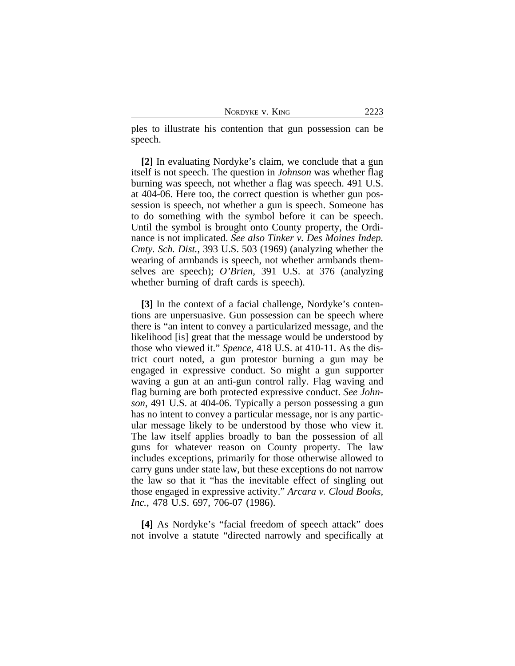| NORDYKE V. KING | 2223 |
|-----------------|------|
|-----------------|------|

ples to illustrate his contention that gun possession can be speech.

**[2]** In evaluating Nordyke's claim, we conclude that a gun itself is not speech. The question in *Johnson* was whether flag burning was speech, not whether a flag was speech. 491 U.S. at 404-06. Here too, the correct question is whether gun possession is speech, not whether a gun is speech. Someone has to do something with the symbol before it can be speech. Until the symbol is brought onto County property, the Ordinance is not implicated. *See also Tinker v. Des Moines Indep. Cmty. Sch. Dist.*, 393 U.S. 503 (1969) (analyzing whether the wearing of armbands is speech, not whether armbands themselves are speech); *O'Brien*, 391 U.S. at 376 (analyzing whether burning of draft cards is speech).

**[3]** In the context of a facial challenge, Nordyke's contentions are unpersuasive. Gun possession can be speech where there is "an intent to convey a particularized message, and the likelihood [is] great that the message would be understood by those who viewed it." *Spence*, 418 U.S. at 410-11. As the district court noted, a gun protestor burning a gun may be engaged in expressive conduct. So might a gun supporter waving a gun at an anti-gun control rally. Flag waving and flag burning are both protected expressive conduct. *See Johnson*, 491 U.S. at 404-06. Typically a person possessing a gun has no intent to convey a particular message, nor is any particular message likely to be understood by those who view it. The law itself applies broadly to ban the possession of all guns for whatever reason on County property. The law includes exceptions, primarily for those otherwise allowed to carry guns under state law, but these exceptions do not narrow the law so that it "has the inevitable effect of singling out those engaged in expressive activity." *Arcara v. Cloud Books, Inc.*, 478 U.S. 697, 706-07 (1986).

**[4]** As Nordyke's "facial freedom of speech attack" does not involve a statute "directed narrowly and specifically at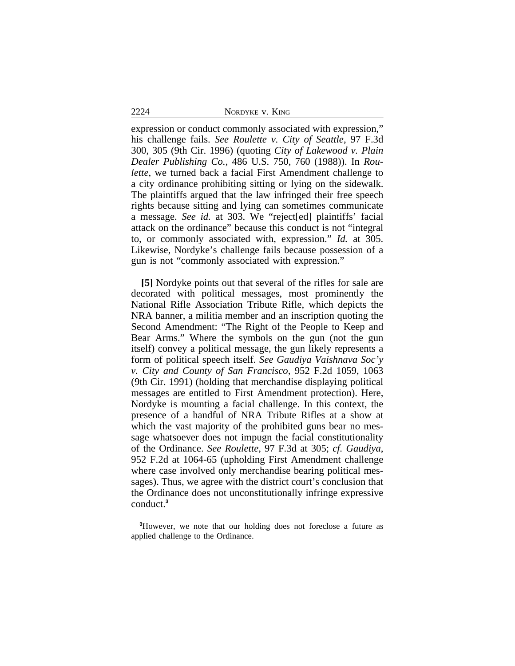2224 NORDYKE v. KING

expression or conduct commonly associated with expression," his challenge fails. *See Roulette v. City of Seattle*, 97 F.3d 300, 305 (9th Cir. 1996) (quoting *City of Lakewood v. Plain Dealer Publishing Co.*, 486 U.S. 750, 760 (1988)). In *Roulette*, we turned back a facial First Amendment challenge to a city ordinance prohibiting sitting or lying on the sidewalk. The plaintiffs argued that the law infringed their free speech rights because sitting and lying can sometimes communicate a message. *See id.* at 303. We "reject[ed] plaintiffs' facial attack on the ordinance" because this conduct is not "integral to, or commonly associated with, expression." *Id.* at 305. Likewise, Nordyke's challenge fails because possession of a gun is not "commonly associated with expression."

**[5]** Nordyke points out that several of the rifles for sale are decorated with political messages, most prominently the National Rifle Association Tribute Rifle, which depicts the NRA banner, a militia member and an inscription quoting the Second Amendment: "The Right of the People to Keep and Bear Arms." Where the symbols on the gun (not the gun itself) convey a political message, the gun likely represents a form of political speech itself. *See Gaudiya Vaishnava Soc'y v. City and County of San Francisco*, 952 F.2d 1059, 1063 (9th Cir. 1991) (holding that merchandise displaying political messages are entitled to First Amendment protection). Here, Nordyke is mounting a facial challenge. In this context, the presence of a handful of NRA Tribute Rifles at a show at which the vast majority of the prohibited guns bear no message whatsoever does not impugn the facial constitutionality of the Ordinance. *See Roulette*, 97 F.3d at 305; *cf. Gaudiya*, 952 F.2d at 1064-65 (upholding First Amendment challenge where case involved only merchandise bearing political messages). Thus, we agree with the district court's conclusion that the Ordinance does not unconstitutionally infringe expressive conduct.**<sup>3</sup>**

**<sup>3</sup>**However, we note that our holding does not foreclose a future as applied challenge to the Ordinance.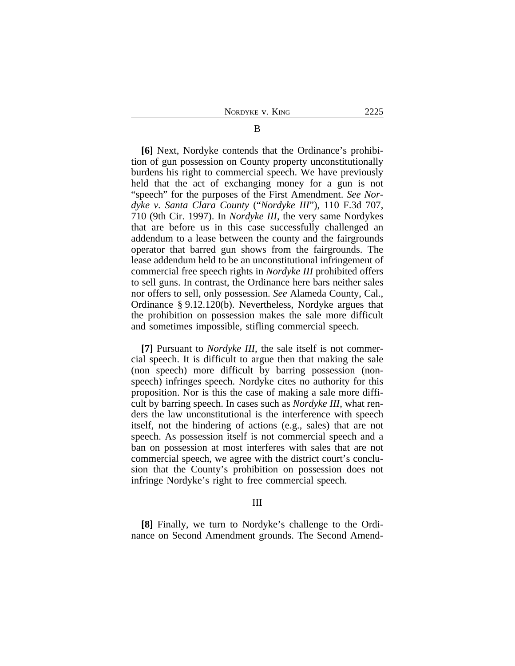**[6]** Next, Nordyke contends that the Ordinance's prohibition of gun possession on County property unconstitutionally burdens his right to commercial speech. We have previously held that the act of exchanging money for a gun is not "speech" for the purposes of the First Amendment. *See Nordyke v. Santa Clara County* ("*Nordyke III*"), 110 F.3d 707, 710 (9th Cir. 1997). In *Nordyke III*, the very same Nordykes that are before us in this case successfully challenged an addendum to a lease between the county and the fairgrounds operator that barred gun shows from the fairgrounds. The lease addendum held to be an unconstitutional infringement of commercial free speech rights in *Nordyke III* prohibited offers to sell guns. In contrast, the Ordinance here bars neither sales nor offers to sell, only possession. *See* Alameda County, Cal., Ordinance § 9.12.120(b). Nevertheless, Nordyke argues that the prohibition on possession makes the sale more difficult and sometimes impossible, stifling commercial speech.

**[7]** Pursuant to *Nordyke III*, the sale itself is not commercial speech. It is difficult to argue then that making the sale (non speech) more difficult by barring possession (nonspeech) infringes speech. Nordyke cites no authority for this proposition. Nor is this the case of making a sale more difficult by barring speech. In cases such as *Nordyke III*, what renders the law unconstitutional is the interference with speech itself, not the hindering of actions (e.g., sales) that are not speech. As possession itself is not commercial speech and a ban on possession at most interferes with sales that are not commercial speech, we agree with the district court's conclusion that the County's prohibition on possession does not infringe Nordyke's right to free commercial speech.

### III

**[8]** Finally, we turn to Nordyke's challenge to the Ordinance on Second Amendment grounds. The Second Amend-

## B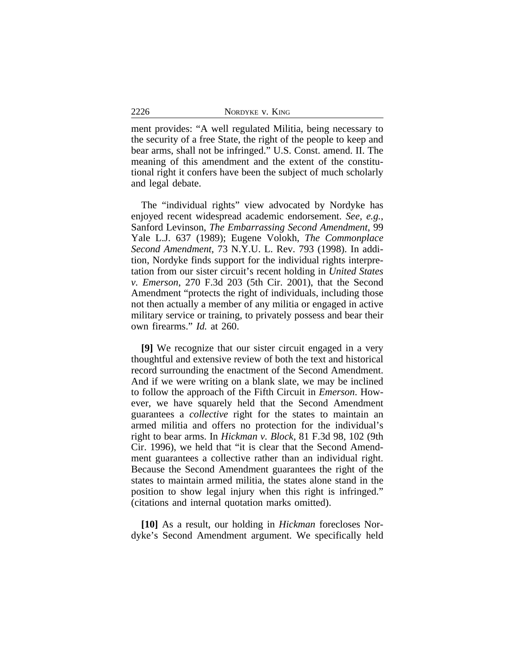ment provides: "A well regulated Militia, being necessary to the security of a free State, the right of the people to keep and bear arms, shall not be infringed." U.S. Const. amend. II. The meaning of this amendment and the extent of the constitutional right it confers have been the subject of much scholarly and legal debate.

The "individual rights" view advocated by Nordyke has enjoyed recent widespread academic endorsement. *See, e.g.*, Sanford Levinson, *The Embarrassing Second Amendment*, 99 Yale L.J. 637 (1989); Eugene Volokh, *The Commonplace Second Amendment*, 73 N.Y.U. L. Rev. 793 (1998). In addition, Nordyke finds support for the individual rights interpretation from our sister circuit's recent holding in *United States v. Emerson*, 270 F.3d 203 (5th Cir. 2001), that the Second Amendment "protects the right of individuals, including those not then actually a member of any militia or engaged in active military service or training, to privately possess and bear their own firearms." *Id.* at 260.

**[9]** We recognize that our sister circuit engaged in a very thoughtful and extensive review of both the text and historical record surrounding the enactment of the Second Amendment. And if we were writing on a blank slate, we may be inclined to follow the approach of the Fifth Circuit in *Emerson*. However, we have squarely held that the Second Amendment guarantees a *collective* right for the states to maintain an armed militia and offers no protection for the individual's right to bear arms. In *Hickman v. Block*, 81 F.3d 98, 102 (9th Cir. 1996), we held that "it is clear that the Second Amendment guarantees a collective rather than an individual right. Because the Second Amendment guarantees the right of the states to maintain armed militia, the states alone stand in the position to show legal injury when this right is infringed." (citations and internal quotation marks omitted).

**[10]** As a result, our holding in *Hickman* forecloses Nordyke's Second Amendment argument. We specifically held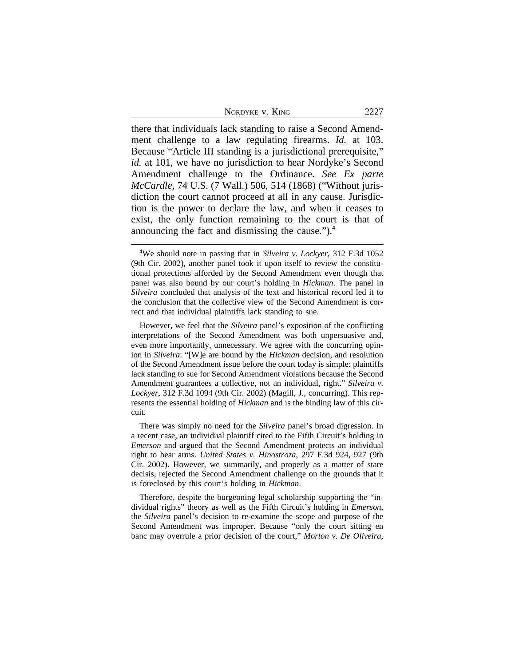there that individuals lack standing to raise a Second Amendment challenge to a law regulating firearms. *Id.* at 103. Because "Article III standing is a jurisdictional prerequisite," *id.* at 101, we have no jurisdiction to hear Nordyke's Second Amendment challenge to the Ordinance. *See Ex parte McCardle*, 74 U.S. (7 Wall.) 506, 514 (1868) ("Without jurisdiction the court cannot proceed at all in any cause. Jurisdiction is the power to declare the law, and when it ceases to exist, the only function remaining to the court is that of announcing the fact and dismissing the cause.").**<sup>4</sup>**

However, we feel that the *Silveira* panel's exposition of the conflicting interpretations of the Second Amendment was both unpersuasive and, even more importantly, unnecessary. We agree with the concurring opinion in *Silveira*: "[W]e are bound by the *Hickman* decision, and resolution of the Second Amendment issue before the court today is simple: plaintiffs lack standing to sue for Second Amendment violations because the Second Amendment guarantees a collective, not an individual, right." *Silveira v. Lockyer*, 312 F.3d 1094 (9th Cir. 2002) (Magill, J., concurring). This represents the essential holding of *Hickman* and is the binding law of this circuit.

There was simply no need for the *Silveira* panel's broad digression. In a recent case, an individual plaintiff cited to the Fifth Circuit's holding in *Emerson* and argued that the Second Amendment protects an individual right to bear arms. *United States v. Hinostroza*, 297 F.3d 924, 927 (9th Cir. 2002). However, we summarily, and properly as a matter of stare decisis, rejected the Second Amendment challenge on the grounds that it is foreclosed by this court's holding in *Hickman*.

Therefore, despite the burgeoning legal scholarship supporting the "individual rights" theory as well as the Fifth Circuit's holding in *Emerson*, the *Silveira* panel's decision to re-examine the scope and purpose of the Second Amendment was improper. Because "only the court sitting en banc may overrule a prior decision of the court," *Morton v. De Oliveira*,

**<sup>4</sup>**We should note in passing that in *Silveira v. Lockyer*, 312 F.3d 1052 (9th Cir. 2002), another panel took it upon itself to review the constitutional protections afforded by the Second Amendment even though that panel was also bound by our court's holding in *Hickman*. The panel in *Silveira* concluded that analysis of the text and historical record led it to the conclusion that the collective view of the Second Amendment is correct and that individual plaintiffs lack standing to sue.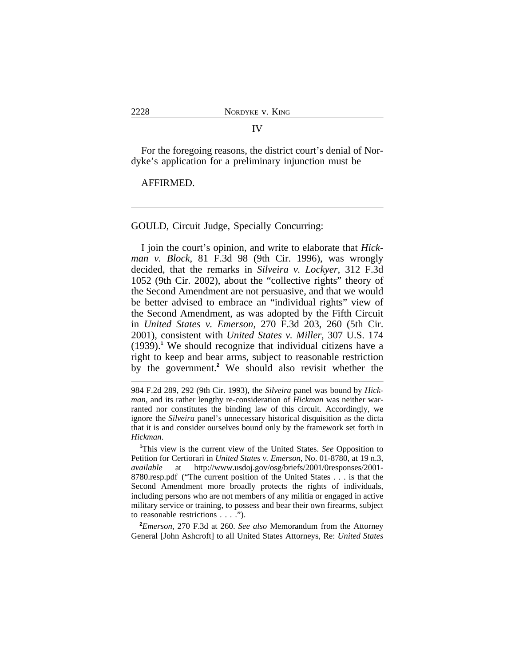#### IV

For the foregoing reasons, the district court's denial of Nordyke's application for a preliminary injunction must be

#### AFFIRMED.

GOULD, Circuit Judge, Specially Concurring:

I join the court's opinion, and write to elaborate that *Hickman v. Block*, 81 F.3d 98 (9th Cir. 1996), was wrongly decided, that the remarks in *Silveira v. Lockyer,* 312 F.3d 1052 (9th Cir. 2002), about the "collective rights" theory of the Second Amendment are not persuasive, and that we would be better advised to embrace an "individual rights" view of the Second Amendment, as was adopted by the Fifth Circuit in *United States v. Emerson,* 270 F.3d 203, 260 (5th Cir. 2001)*,* consistent with *United States v. Miller*, 307 U.S. 174 (1939).**<sup>1</sup>** We should recognize that individual citizens have a right to keep and bear arms, subject to reasonable restriction by the government.**<sup>2</sup>** We should also revisit whether the

984 F.2d 289, 292 (9th Cir. 1993), the *Silveira* panel was bound by *Hickman*, and its rather lengthy re-consideration of *Hickman* was neither warranted nor constitutes the binding law of this circuit. Accordingly, we ignore the *Silveira* panel's unnecessary historical disquisition as the dicta that it is and consider ourselves bound only by the framework set forth in *Hickman*.

**<sup>1</sup>**This view is the current view of the United States. *See* Opposition to Petition for Certiorari in *United States v. Emerson*, No. 01-8780, at 19 n.3, *available* at http://www.usdoj.gov/osg/briefs/2001/0responses/2001- 8780.resp.pdf ("The current position of the United States . . . is that the Second Amendment more broadly protects the rights of individuals, including persons who are not members of any militia or engaged in active military service or training, to possess and bear their own firearms, subject to reasonable restrictions . . . .").

**<sup>2</sup>***Emerson*, 270 F.3d at 260. *See also* Memorandum from the Attorney General [John Ashcroft] to all United States Attorneys, Re: *United States*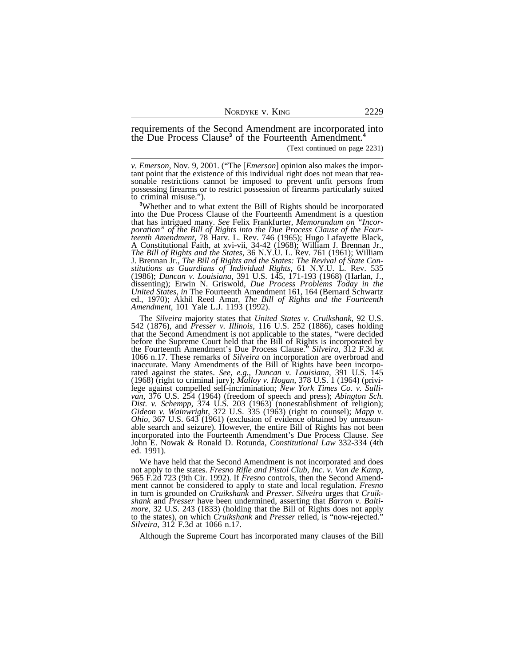requirements of the Second Amendment are incorporated into the Due Process Clause**<sup>3</sup>** of the Fourteenth Amendment.**<sup>4</sup>**

(Text continued on page 2231)

*v. Emerson*, Nov. 9, 2001. ("The [*Emerson*] opinion also makes the important point that the existence of this individual right does not mean that reasonable restrictions cannot be imposed to prevent unfit persons from possessing firearms or to restrict possession of firearms particularly suited to criminal misuse.").

**<sup>3</sup>**Whether and to what extent the Bill of Rights should be incorporated into the Due Process Clause of the Fourteenth Amendment is a question that has intrigued many. *See* Felix Frankfurter, *Memorandum on "Incorporation" of the Bill of Rights into the Due Process Clause of the Fourteenth Amendment*, 78 Harv. L. Rev. 746 (1965); Hugo Lafayette Black, A Constitutional Faith, at xvi-vii, 34-42 (1968); William J. Brennan Jr., *The Bill of Rights and the States*, 36 N.Y.U. L. Rev. 761 (1961); William J. Brennan Jr., *The Bill of Rights and the States: The Revival of State Constitutions as Guardians of Individual Rights*, 61 N.Y.U. L. Rev. 535 (1986); *Duncan v. Louisiana*, 391 U.S. 145, 171-193 (1968) (Harlan, J., dissenting); Erwin N. Griswold, *Due Process Problems Today in the United States*, *in* The Fourteenth Amendment 161, 164 (Bernard Schwartz ed., 1970); Akhil Reed Amar, *The Bill of Rights and the Fourteenth Amendment,* 101 Yale L.J. 1193 (1992).

The *Silveira* majority states that *United States v. Cruikshank*, 92 U.S. 542 (1876), and *Presser v. Illinois*, 116 U.S. 252 (1886), cases holding that the Second Amendment is not applicable to the states, "were decided before the Supreme Court held that the Bill of Rights is incorporated by the Fourteenth Amendment's Due Process Clause." *Silveira*, 312 F.3d at 1066 n.17. These remarks of *Silveira* on incorporation are overbroad and inaccurate. Many Amendments of the Bill of Rights have been incorporated against the states. *See, e.g., Duncan v. Louisiana*, 391 U.S. 145 (1968) (right to criminal jury); *Malloy v. Hogan,* 378 U.S. 1 (1964) (privilege against compelled self-incrimination; *New York Times Co. v. Sullivan*, 376 U.S. 254 (1964) (freedom of speech and press); *Abington Sch. Dist. v. Schempp*, 374 U.S. 203 (1963) (nonestablishment of religion); *Gideon v. Wainwright*, 372 U.S. 335 (1963) (right to counsel); *Mapp v. Ohio,* 367 U.S. 643 (1961) (exclusion of evidence obtained by unreasonable search and seizure). However, the entire Bill of Rights has not been incorporated into the Fourteenth Amendment's Due Process Clause. *See* John E. Nowak & Ronald D. Rotunda, *Constitutional Law* 332-334 (4th ed. 1991).

We have held that the Second Amendment is not incorporated and does not apply to the states. *Fresno Rifle and Pistol Club, Inc. v. Van de Kamp*, 965 F.2d 723 (9th Cir. 1992). If *Fresno* controls, then the Second Amendment cannot be considered to apply to state and local regulation. *Fresno* in turn is grounded on *Cruikshank* and *Presser*. *Silveira* urges that *Cruikshank* and *Presser* have been undermined, asserting that *Barron v. Baltimore*, 32 U.S. 243 (1833) (holding that the Bill of Rights does not apply to the states), on which *Cruikshank* and *Presser* relied, is "now-rejected." *Silveira,* 312 F.3d at 1066 n.17.

Although the Supreme Court has incorporated many clauses of the Bill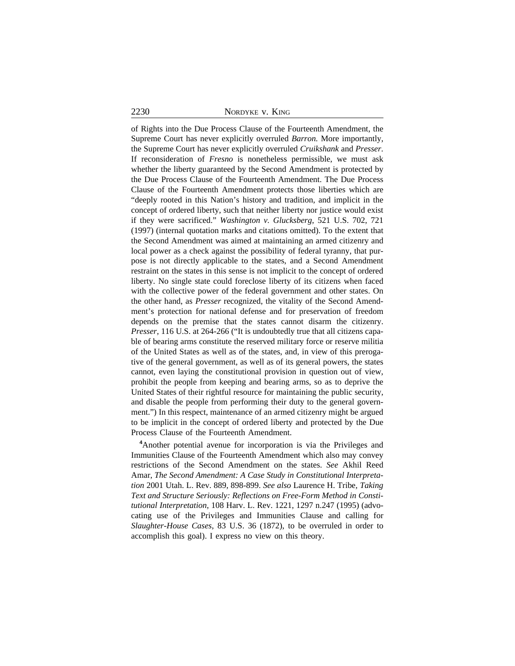2230 NORDYKE v. KING

of Rights into the Due Process Clause of the Fourteenth Amendment, the Supreme Court has never explicitly overruled *Barron.* More importantly, the Supreme Court has never explicitly overruled *Cruikshank* and *Presser*. If reconsideration of *Fresno* is nonetheless permissible, we must ask whether the liberty guaranteed by the Second Amendment is protected by the Due Process Clause of the Fourteenth Amendment. The Due Process Clause of the Fourteenth Amendment protects those liberties which are "deeply rooted in this Nation's history and tradition, and implicit in the concept of ordered liberty, such that neither liberty nor justice would exist if they were sacrificed." *Washington v. Glucksberg*, 521 U.S. 702, 721 (1997) (internal quotation marks and citations omitted). To the extent that the Second Amendment was aimed at maintaining an armed citizenry and local power as a check against the possibility of federal tyranny, that purpose is not directly applicable to the states, and a Second Amendment restraint on the states in this sense is not implicit to the concept of ordered liberty. No single state could foreclose liberty of its citizens when faced with the collective power of the federal government and other states. On the other hand, as *Presser* recognized, the vitality of the Second Amendment's protection for national defense and for preservation of freedom depends on the premise that the states cannot disarm the citizenry. *Presser*, 116 U.S. at 264-266 ("It is undoubtedly true that all citizens capable of bearing arms constitute the reserved military force or reserve militia of the United States as well as of the states, and, in view of this prerogative of the general government, as well as of its general powers, the states cannot, even laying the constitutional provision in question out of view, prohibit the people from keeping and bearing arms, so as to deprive the United States of their rightful resource for maintaining the public security, and disable the people from performing their duty to the general government.") In this respect, maintenance of an armed citizenry might be argued to be implicit in the concept of ordered liberty and protected by the Due Process Clause of the Fourteenth Amendment.

**<sup>4</sup>**Another potential avenue for incorporation is via the Privileges and Immunities Clause of the Fourteenth Amendment which also may convey restrictions of the Second Amendment on the states. *See* Akhil Reed Amar, *The Second Amendment: A Case Study in Constitutional Interpretation* 2001 Utah. L. Rev. 889, 898-899. *See also* Laurence H. Tribe*, Taking Text and Structure Seriously: Reflections on Free-Form Method in Constitutional Interpretation*, 108 Harv. L. Rev. 1221, 1297 n.247 (1995) (advocating use of the Privileges and Immunities Clause and calling for *Slaughter-House Cases*, 83 U.S. 36 (1872), to be overruled in order to accomplish this goal). I express no view on this theory.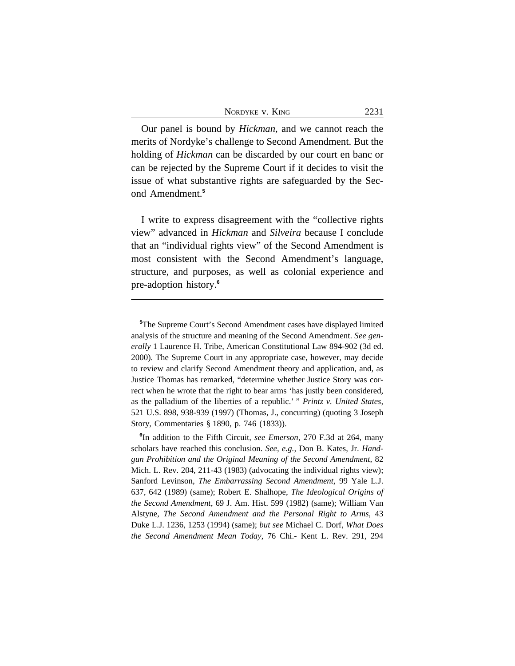Our panel is bound by *Hickman*, and we cannot reach the merits of Nordyke's challenge to Second Amendment. But the holding of *Hickman* can be discarded by our court en banc or can be rejected by the Supreme Court if it decides to visit the issue of what substantive rights are safeguarded by the Second Amendment.**<sup>5</sup>**

I write to express disagreement with the "collective rights view" advanced in *Hickman* and *Silveira* because I conclude that an "individual rights view" of the Second Amendment is most consistent with the Second Amendment's language, structure, and purposes, as well as colonial experience and pre-adoption history.**<sup>6</sup>**

**6** In addition to the Fifth Circuit, *see Emerson,* 270 F.3d at 264, many scholars have reached this conclusion. *See, e.g.,* Don B. Kates, Jr. *Handgun Prohibition and the Original Meaning of the Second Amendment*, 82 Mich. L. Rev. 204, 211-43 (1983) (advocating the individual rights view); Sanford Levinson, *The Embarrassing Second Amendment*, 99 Yale L.J. 637, 642 (1989) (same); Robert E. Shalhope, *The Ideological Origins of the Second Amendment*, 69 J. Am. Hist. 599 (1982) (same); William Van Alstyne, *The Second Amendment and the Personal Right to Arms*, 43 Duke L.J. 1236, 1253 (1994) (same); *but see* Michael C. Dorf, *What Does the Second Amendment Mean Today*, 76 Chi.- Kent L. Rev. 291, 294

**<sup>5</sup>**The Supreme Court's Second Amendment cases have displayed limited analysis of the structure and meaning of the Second Amendment. *See generally* 1 Laurence H. Tribe, American Constitutional Law 894-902 (3d ed. 2000). The Supreme Court in any appropriate case, however, may decide to review and clarify Second Amendment theory and application, and, as Justice Thomas has remarked, "determine whether Justice Story was correct when he wrote that the right to bear arms 'has justly been considered, as the palladium of the liberties of a republic.' " *Printz v. United States,* 521 U.S. 898, 938-939 (1997) (Thomas, J., concurring) (quoting 3 Joseph Story, Commentaries § 1890, p. 746 (1833)).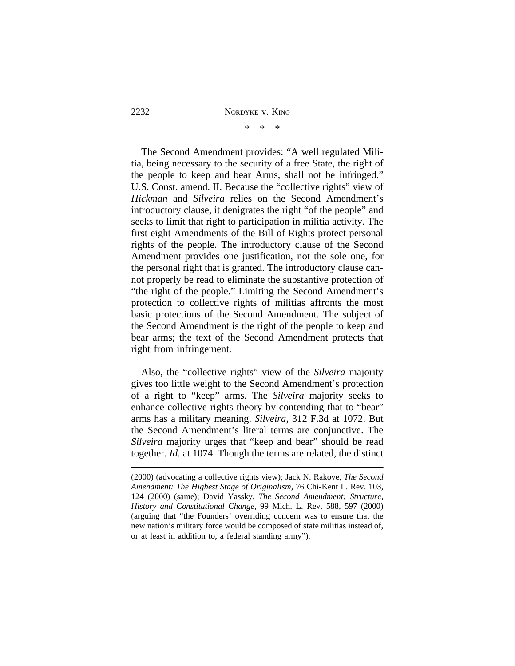\* \* \*

The Second Amendment provides: "A well regulated Militia, being necessary to the security of a free State, the right of the people to keep and bear Arms, shall not be infringed." U.S. Const. amend. II. Because the "collective rights" view of *Hickman* and *Silveira* relies on the Second Amendment's introductory clause, it denigrates the right "of the people" and seeks to limit that right to participation in militia activity. The first eight Amendments of the Bill of Rights protect personal rights of the people. The introductory clause of the Second Amendment provides one justification, not the sole one, for the personal right that is granted. The introductory clause cannot properly be read to eliminate the substantive protection of "the right of the people." Limiting the Second Amendment's protection to collective rights of militias affronts the most basic protections of the Second Amendment. The subject of the Second Amendment is the right of the people to keep and bear arms; the text of the Second Amendment protects that right from infringement.

Also, the "collective rights" view of the *Silveira* majority gives too little weight to the Second Amendment's protection of a right to "keep" arms. The *Silveira* majority seeks to enhance collective rights theory by contending that to "bear" arms has a military meaning. *Silveira*, 312 F.3d at 1072. But the Second Amendment's literal terms are conjunctive. The *Silveira* majority urges that "keep and bear" should be read together. *Id.* at 1074. Though the terms are related, the distinct

<sup>(2000) (</sup>advocating a collective rights view); Jack N. Rakove, *The Second Amendment: The Highest Stage of Originalism*, 76 Chi-Kent L. Rev. 103, 124 (2000) (same); David Yassky, *The Second Amendment: Structure, History and Constitutional Change*, 99 Mich. L. Rev. 588, 597 (2000) (arguing that "the Founders' overriding concern was to ensure that the new nation's military force would be composed of state militias instead of, or at least in addition to, a federal standing army").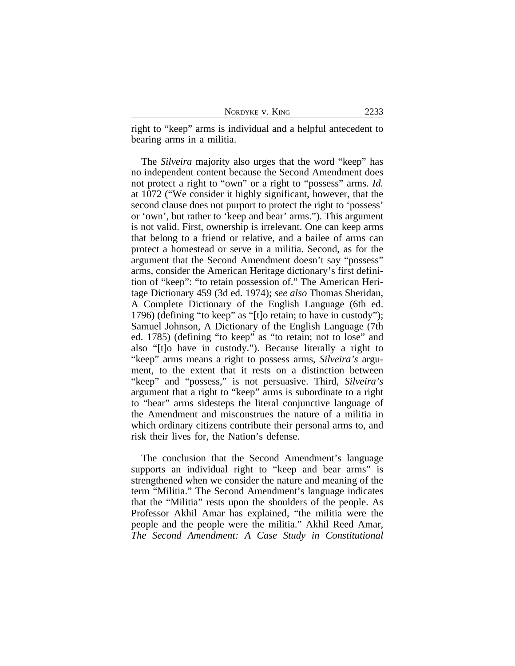| NORDYKE V. KING | 2233 |
|-----------------|------|
|-----------------|------|

right to "keep" arms is individual and a helpful antecedent to bearing arms in a militia.

The *Silveira* majority also urges that the word "keep" has no independent content because the Second Amendment does not protect a right to "own" or a right to "possess" arms. *Id.* at 1072 ("We consider it highly significant, however, that the second clause does not purport to protect the right to 'possess' or 'own', but rather to 'keep and bear' arms."). This argument is not valid. First, ownership is irrelevant. One can keep arms that belong to a friend or relative, and a bailee of arms can protect a homestead or serve in a militia. Second, as for the argument that the Second Amendment doesn't say "possess" arms, consider the American Heritage dictionary's first definition of "keep": "to retain possession of." The American Heritage Dictionary 459 (3d ed. 1974); *see also* Thomas Sheridan, A Complete Dictionary of the English Language (6th ed. 1796) (defining "to keep" as "[t]o retain; to have in custody"); Samuel Johnson, A Dictionary of the English Language (7th ed. 1785) (defining "to keep" as "to retain; not to lose" and also "[t]o have in custody."). Because literally a right to "keep" arms means a right to possess arms, *Silveira's* argument, to the extent that it rests on a distinction between "keep" and "possess," is not persuasive. Third, *Silveira's* argument that a right to "keep" arms is subordinate to a right to "bear" arms sidesteps the literal conjunctive language of the Amendment and misconstrues the nature of a militia in which ordinary citizens contribute their personal arms to, and risk their lives for, the Nation's defense.

The conclusion that the Second Amendment's language supports an individual right to "keep and bear arms" is strengthened when we consider the nature and meaning of the term "Militia." The Second Amendment's language indicates that the "Militia" rests upon the shoulders of the people. As Professor Akhil Amar has explained, "the militia were the people and the people were the militia." Akhil Reed Amar, *The Second Amendment: A Case Study in Constitutional*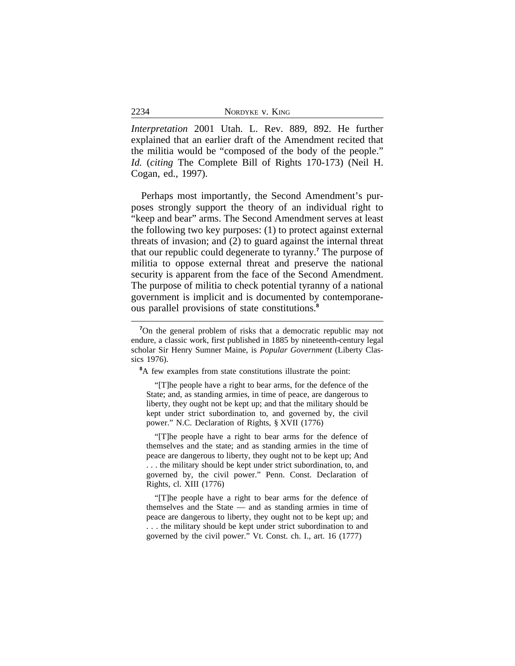| 2234 | NORDYKE V. KING |
|------|-----------------|
|------|-----------------|

*Interpretation* 2001 Utah. L. Rev. 889, 892. He further explained that an earlier draft of the Amendment recited that the militia would be "composed of the body of the people." *Id.* (*citing* The Complete Bill of Rights 170-173) (Neil H. Cogan, ed., 1997).

Perhaps most importantly, the Second Amendment's purposes strongly support the theory of an individual right to "keep and bear" arms. The Second Amendment serves at least the following two key purposes: (1) to protect against external threats of invasion; and (2) to guard against the internal threat that our republic could degenerate to tyranny.**<sup>7</sup>** The purpose of militia to oppose external threat and preserve the national security is apparent from the face of the Second Amendment. The purpose of militia to check potential tyranny of a national government is implicit and is documented by contemporaneous parallel provisions of state constitutions.**<sup>8</sup>**

**<sup>8</sup>**A few examples from state constitutions illustrate the point:

"[T]he people have a right to bear arms, for the defence of the State; and, as standing armies, in time of peace, are dangerous to liberty, they ought not be kept up; and that the military should be kept under strict subordination to, and governed by, the civil power." N.C. Declaration of Rights, § XVII (1776)

"[T]he people have a right to bear arms for the defence of themselves and the state; and as standing armies in the time of peace are dangerous to liberty, they ought not to be kept up; And . . . the military should be kept under strict subordination, to, and governed by, the civil power." Penn. Const. Declaration of Rights, cl. XIII (1776)

"[T]he people have a right to bear arms for the defence of themselves and the State — and as standing armies in time of peace are dangerous to liberty, they ought not to be kept up; and . . . the military should be kept under strict subordination to and governed by the civil power." Vt. Const. ch. I., art. 16 (1777)

**<sup>7</sup>**On the general problem of risks that a democratic republic may not endure, a classic work, first published in 1885 by nineteenth-century legal scholar Sir Henry Sumner Maine, is *Popular Government* (Liberty Classics 1976).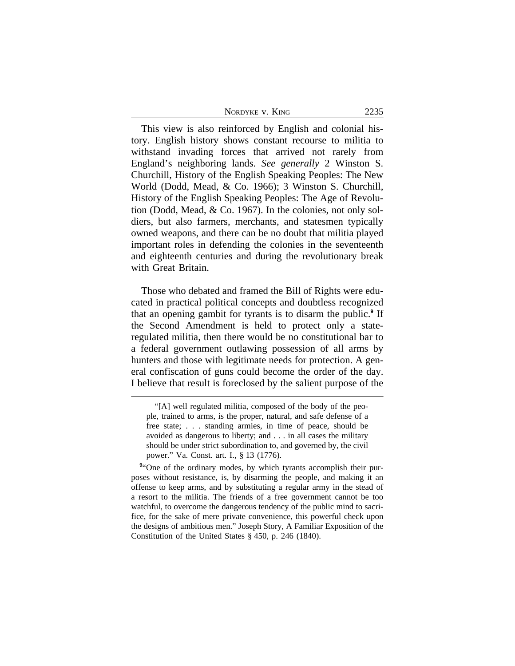| 2235 |
|------|
|      |

This view is also reinforced by English and colonial history. English history shows constant recourse to militia to withstand invading forces that arrived not rarely from England's neighboring lands. *See generally* 2 Winston S. Churchill, History of the English Speaking Peoples: The New World (Dodd, Mead, & Co. 1966); 3 Winston S. Churchill, History of the English Speaking Peoples: The Age of Revolution (Dodd, Mead, & Co. 1967). In the colonies, not only soldiers, but also farmers, merchants, and statesmen typically owned weapons, and there can be no doubt that militia played important roles in defending the colonies in the seventeenth and eighteenth centuries and during the revolutionary break with Great Britain.

Those who debated and framed the Bill of Rights were educated in practical political concepts and doubtless recognized that an opening gambit for tyrants is to disarm the public.**<sup>9</sup>** If the Second Amendment is held to protect only a stateregulated militia, then there would be no constitutional bar to a federal government outlawing possession of all arms by hunters and those with legitimate needs for protection. A general confiscation of guns could become the order of the day. I believe that result is foreclosed by the salient purpose of the

<sup>&</sup>quot;[A] well regulated militia, composed of the body of the people, trained to arms, is the proper, natural, and safe defense of a free state; . . . standing armies, in time of peace, should be avoided as dangerous to liberty; and . . . in all cases the military should be under strict subordination to, and governed by, the civil power." Va. Const. art. I., § 13 (1776).

<sup>&</sup>lt;sup>9"</sup>One of the ordinary modes, by which tyrants accomplish their purposes without resistance, is, by disarming the people, and making it an offense to keep arms, and by substituting a regular army in the stead of a resort to the militia. The friends of a free government cannot be too watchful, to overcome the dangerous tendency of the public mind to sacrifice, for the sake of mere private convenience, this powerful check upon the designs of ambitious men." Joseph Story, A Familiar Exposition of the Constitution of the United States § 450, p. 246 (1840).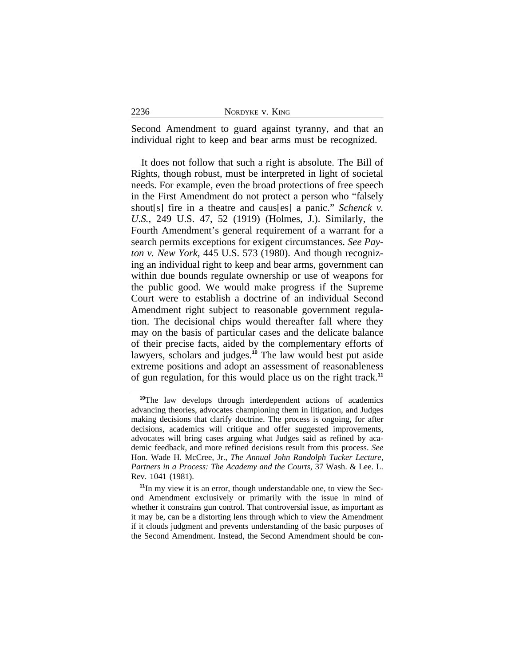Second Amendment to guard against tyranny, and that an individual right to keep and bear arms must be recognized.

It does not follow that such a right is absolute. The Bill of Rights, though robust, must be interpreted in light of societal needs. For example, even the broad protections of free speech in the First Amendment do not protect a person who "falsely shout[s] fire in a theatre and caus[es] a panic." *Schenck v. U.S.,* 249 U.S. 47, 52 (1919) (Holmes, J.). Similarly, the Fourth Amendment's general requirement of a warrant for a search permits exceptions for exigent circumstances. *See Payton v. New York,* 445 U.S. 573 (1980). And though recognizing an individual right to keep and bear arms, government can within due bounds regulate ownership or use of weapons for the public good. We would make progress if the Supreme Court were to establish a doctrine of an individual Second Amendment right subject to reasonable government regulation. The decisional chips would thereafter fall where they may on the basis of particular cases and the delicate balance of their precise facts, aided by the complementary efforts of lawyers, scholars and judges.**<sup>10</sup>** The law would best put aside extreme positions and adopt an assessment of reasonableness of gun regulation, for this would place us on the right track.**<sup>11</sup>**

**<sup>10</sup>**The law develops through interdependent actions of academics advancing theories, advocates championing them in litigation, and Judges making decisions that clarify doctrine. The process is ongoing, for after decisions, academics will critique and offer suggested improvements, advocates will bring cases arguing what Judges said as refined by academic feedback, and more refined decisions result from this process. *See* Hon. Wade H. McCree, Jr., *The Annual John Randolph Tucker Lecture, Partners in a Process: The Academy and the Courts*, 37 Wash. & Lee. L. Rev. 1041 (1981).

**<sup>11</sup>**In my view it is an error, though understandable one, to view the Second Amendment exclusively or primarily with the issue in mind of whether it constrains gun control. That controversial issue, as important as it may be, can be a distorting lens through which to view the Amendment if it clouds judgment and prevents understanding of the basic purposes of the Second Amendment. Instead, the Second Amendment should be con-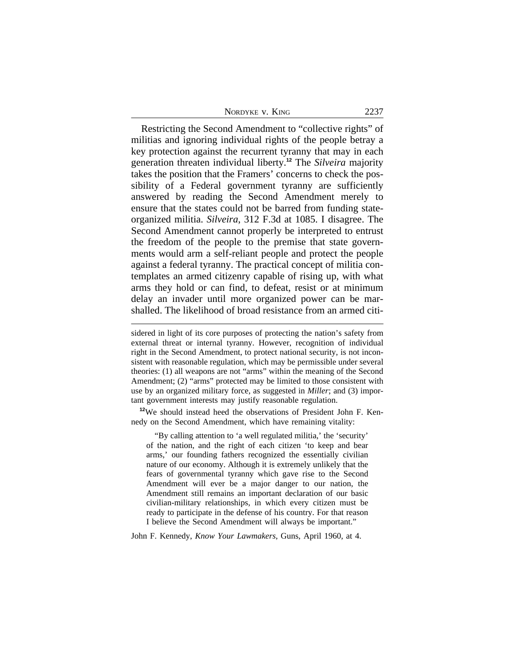| NORDYKE V. KING | 2237 |
|-----------------|------|
|-----------------|------|

Restricting the Second Amendment to "collective rights" of militias and ignoring individual rights of the people betray a key protection against the recurrent tyranny that may in each generation threaten individual liberty.**<sup>12</sup>** The *Silveira* majority takes the position that the Framers' concerns to check the possibility of a Federal government tyranny are sufficiently answered by reading the Second Amendment merely to ensure that the states could not be barred from funding stateorganized militia. *Silveira*, 312 F.3d at 1085. I disagree. The Second Amendment cannot properly be interpreted to entrust the freedom of the people to the premise that state governments would arm a self-reliant people and protect the people against a federal tyranny. The practical concept of militia contemplates an armed citizenry capable of rising up, with what arms they hold or can find, to defeat, resist or at minimum delay an invader until more organized power can be marshalled. The likelihood of broad resistance from an armed citi-

**<sup>12</sup>**We should instead heed the observations of President John F. Kennedy on the Second Amendment, which have remaining vitality:

"By calling attention to 'a well regulated militia,' the 'security' of the nation, and the right of each citizen 'to keep and bear arms,' our founding fathers recognized the essentially civilian nature of our economy. Although it is extremely unlikely that the fears of governmental tyranny which gave rise to the Second Amendment will ever be a major danger to our nation, the Amendment still remains an important declaration of our basic civilian-military relationships, in which every citizen must be ready to participate in the defense of his country. For that reason I believe the Second Amendment will always be important."

John F. Kennedy, *Know Your Lawmakers*, Guns, April 1960, at 4.

sidered in light of its core purposes of protecting the nation's safety from external threat or internal tyranny. However, recognition of individual right in the Second Amendment, to protect national security, is not inconsistent with reasonable regulation, which may be permissible under several theories: (1) all weapons are not "arms" within the meaning of the Second Amendment; (2) "arms" protected may be limited to those consistent with use by an organized military force, as suggested in *Miller*; and (3) important government interests may justify reasonable regulation.